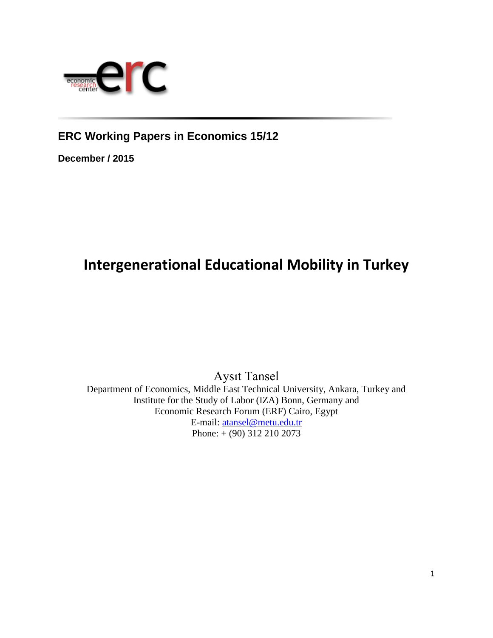

**ERC Working Papers in Economics 15/12**

**December / 2015**

# **Intergenerational Educational Mobility in Turkey**

Aysıt Tansel Department of Economics, Middle East Technical University, Ankara, Turkey and Institute for the Study of Labor (IZA) Bonn, Germany and Economic Research Forum (ERF) Cairo, Egypt E-mail: [atansel@metu.edu.tr](mailto:atansel@metu.edu.tr) Phone: + (90) 312 210 2073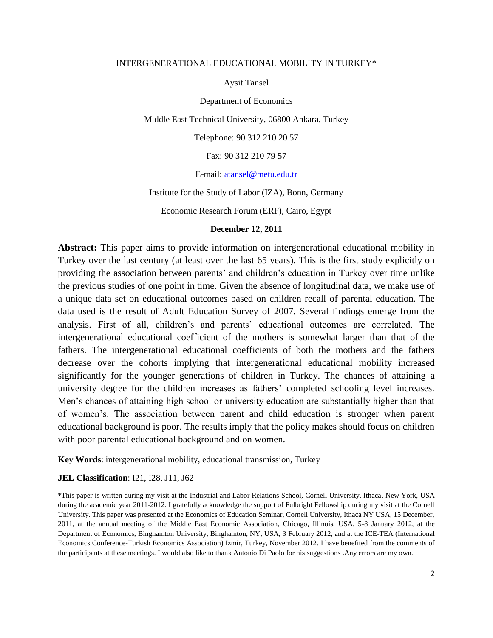#### INTERGENERATIONAL EDUCATIONAL MOBILITY IN TURKEY\*

Aysit Tansel

Department of Economics

Middle East Technical University, 06800 Ankara, Turkey

Telephone: 90 312 210 20 57

Fax: 90 312 210 79 57

E-mail: [atansel@metu.edu.tr](mailto:atansel@metu.edu.tr)

Institute for the Study of Labor (IZA), Bonn, Germany

Economic Research Forum (ERF), Cairo, Egypt

#### **December 12, 2011**

**Abstract:** This paper aims to provide information on intergenerational educational mobility in Turkey over the last century (at least over the last 65 years). This is the first study explicitly on providing the association between parents' and children's education in Turkey over time unlike the previous studies of one point in time. Given the absence of longitudinal data, we make use of a unique data set on educational outcomes based on children recall of parental education. The data used is the result of Adult Education Survey of 2007. Several findings emerge from the analysis. First of all, children's and parents' educational outcomes are correlated. The intergenerational educational coefficient of the mothers is somewhat larger than that of the fathers. The intergenerational educational coefficients of both the mothers and the fathers decrease over the cohorts implying that intergenerational educational mobility increased significantly for the younger generations of children in Turkey. The chances of attaining a university degree for the children increases as fathers' completed schooling level increases. Men's chances of attaining high school or university education are substantially higher than that of women's. The association between parent and child education is stronger when parent educational background is poor. The results imply that the policy makes should focus on children with poor parental educational background and on women.

**Key Words**: intergenerational mobility, educational transmission, Turkey

# **JEL Classification**: I21, I28, J11, J62

\*This paper is written during my visit at the Industrial and Labor Relations School, Cornell University, Ithaca, New York, USA during the academic year 2011-2012. I gratefully acknowledge the support of Fulbright Fellowship during my visit at the Cornell University. This paper was presented at the Economics of Education Seminar, Cornell University, Ithaca NY USA, 15 December, 2011, at the annual meeting of the Middle East Economic Association, Chicago, Illinois, USA, 5-8 January 2012, at the Department of Economics, Binghamton University, Binghamton, NY, USA, 3 February 2012, and at the ICE-TEA (International Economics Conference-Turkish Economics Association) Izmir, Turkey, November 2012. I have benefited from the comments of the participants at these meetings. I would also like to thank Antonio Di Paolo for his suggestions .Any errors are my own.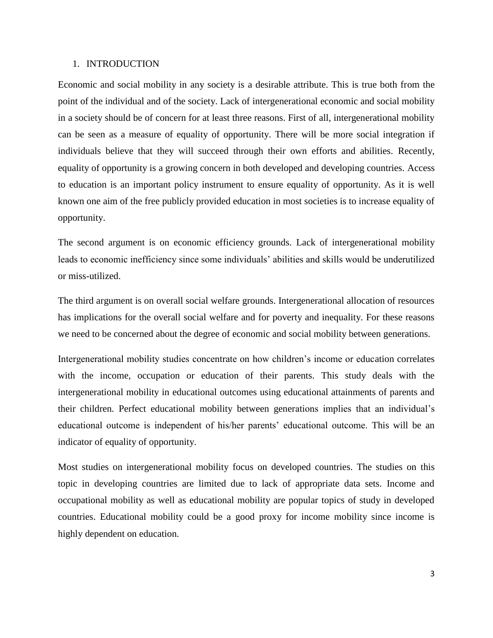#### 1. INTRODUCTION

Economic and social mobility in any society is a desirable attribute. This is true both from the point of the individual and of the society. Lack of intergenerational economic and social mobility in a society should be of concern for at least three reasons. First of all, intergenerational mobility can be seen as a measure of equality of opportunity. There will be more social integration if individuals believe that they will succeed through their own efforts and abilities. Recently, equality of opportunity is a growing concern in both developed and developing countries. Access to education is an important policy instrument to ensure equality of opportunity. As it is well known one aim of the free publicly provided education in most societies is to increase equality of opportunity.

The second argument is on economic efficiency grounds. Lack of intergenerational mobility leads to economic inefficiency since some individuals' abilities and skills would be underutilized or miss-utilized.

The third argument is on overall social welfare grounds. Intergenerational allocation of resources has implications for the overall social welfare and for poverty and inequality. For these reasons we need to be concerned about the degree of economic and social mobility between generations.

Intergenerational mobility studies concentrate on how children's income or education correlates with the income, occupation or education of their parents. This study deals with the intergenerational mobility in educational outcomes using educational attainments of parents and their children. Perfect educational mobility between generations implies that an individual's educational outcome is independent of his/her parents' educational outcome. This will be an indicator of equality of opportunity.

Most studies on intergenerational mobility focus on developed countries. The studies on this topic in developing countries are limited due to lack of appropriate data sets. Income and occupational mobility as well as educational mobility are popular topics of study in developed countries. Educational mobility could be a good proxy for income mobility since income is highly dependent on education.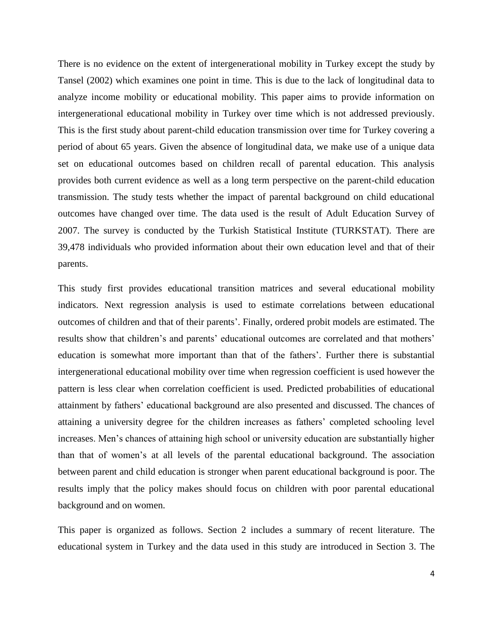There is no evidence on the extent of intergenerational mobility in Turkey except the study by Tansel (2002) which examines one point in time. This is due to the lack of longitudinal data to analyze income mobility or educational mobility. This paper aims to provide information on intergenerational educational mobility in Turkey over time which is not addressed previously. This is the first study about parent-child education transmission over time for Turkey covering a period of about 65 years. Given the absence of longitudinal data, we make use of a unique data set on educational outcomes based on children recall of parental education. This analysis provides both current evidence as well as a long term perspective on the parent-child education transmission. The study tests whether the impact of parental background on child educational outcomes have changed over time. The data used is the result of Adult Education Survey of 2007. The survey is conducted by the Turkish Statistical Institute (TURKSTAT). There are 39,478 individuals who provided information about their own education level and that of their parents.

This study first provides educational transition matrices and several educational mobility indicators. Next regression analysis is used to estimate correlations between educational outcomes of children and that of their parents'. Finally, ordered probit models are estimated. The results show that children's and parents' educational outcomes are correlated and that mothers' education is somewhat more important than that of the fathers'. Further there is substantial intergenerational educational mobility over time when regression coefficient is used however the pattern is less clear when correlation coefficient is used. Predicted probabilities of educational attainment by fathers' educational background are also presented and discussed. The chances of attaining a university degree for the children increases as fathers' completed schooling level increases. Men's chances of attaining high school or university education are substantially higher than that of women's at all levels of the parental educational background. The association between parent and child education is stronger when parent educational background is poor. The results imply that the policy makes should focus on children with poor parental educational background and on women.

This paper is organized as follows. Section 2 includes a summary of recent literature. The educational system in Turkey and the data used in this study are introduced in Section 3. The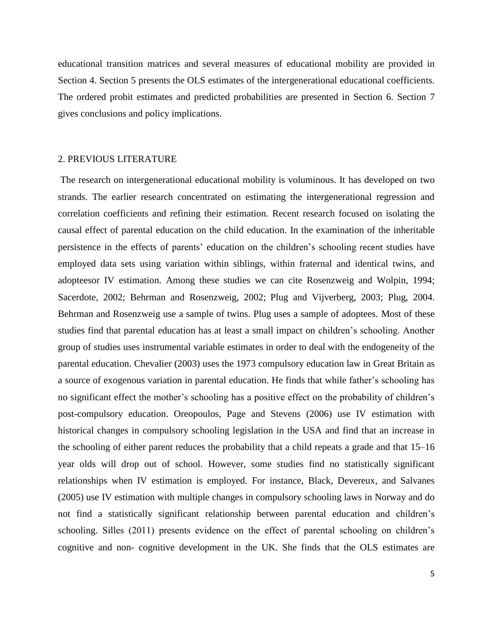educational transition matrices and several measures of educational mobility are provided in Section 4. Section 5 presents the OLS estimates of the intergenerational educational coefficients. The ordered probit estimates and predicted probabilities are presented in Section 6. Section 7 gives conclusions and policy implications.

# 2. PREVIOUS LITERATURE

The research on intergenerational educational mobility is voluminous. It has developed on two strands. The earlier research concentrated on estimating the intergenerational regression and correlation coefficients and refining their estimation. Recent research focused on isolating the causal effect of parental education on the child education. In the examination of the inheritable persistence in the effects of parents' education on the children's schooling recent studies have employed data sets using variation within siblings, within fraternal and identical twins, and adopteesor IV estimation. Among these studies we can cite Rosenzweig and Wolpin, 1994; Sacerdote, 2002; Behrman and Rosenzweig, 2002; Plug and Vijverberg, 2003; Plug, 2004. Behrman and Rosenzweig use a sample of twins. Plug uses a sample of adoptees. Most of these studies find that parental education has at least a small impact on children's schooling. Another group of studies uses instrumental variable estimates in order to deal with the endogeneity of the parental education. Chevalier (2003) uses the 1973 compulsory education law in Great Britain as a source of exogenous variation in parental education. He finds that while father's schooling has no significant effect the mother's schooling has a positive effect on the probability of children's post-compulsory education. Oreopoulos, Page and Stevens (2006) use IV estimation with historical changes in compulsory schooling legislation in the USA and find that an increase in the schooling of either parent reduces the probability that a child repeats a grade and that 15–16 year olds will drop out of school. However, some studies find no statistically significant relationships when IV estimation is employed. For instance, Black, Devereux, and Salvanes (2005) use IV estimation with multiple changes in compulsory schooling laws in Norway and do not find a statistically significant relationship between parental education and children's schooling. Silles (2011) presents evidence on the effect of parental schooling on children's cognitive and non- cognitive development in the UK. She finds that the OLS estimates are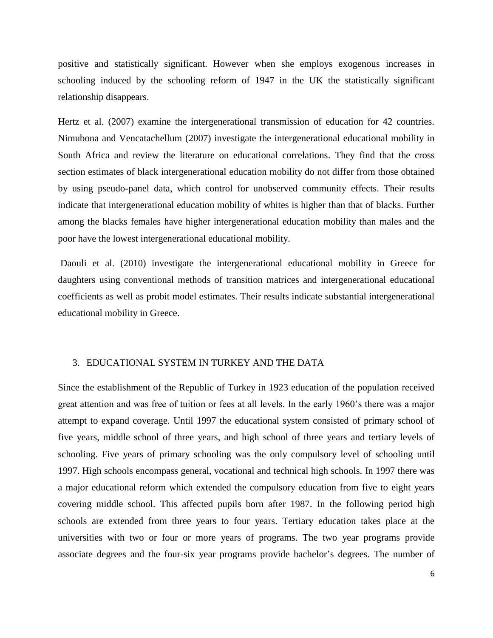positive and statistically significant. However when she employs exogenous increases in schooling induced by the schooling reform of 1947 in the UK the statistically significant relationship disappears.

Hertz et al. (2007) examine the intergenerational transmission of education for 42 countries. Nimubona and Vencatachellum (2007) investigate the intergenerational educational mobility in South Africa and review the literature on educational correlations. They find that the cross section estimates of black intergenerational education mobility do not differ from those obtained by using pseudo-panel data, which control for unobserved community effects. Their results indicate that intergenerational education mobility of whites is higher than that of blacks. Further among the blacks females have higher intergenerational education mobility than males and the poor have the lowest intergenerational educational mobility.

Daouli et al. (2010) investigate the intergenerational educational mobility in Greece for daughters using conventional methods of transition matrices and intergenerational educational coefficients as well as probit model estimates. Their results indicate substantial intergenerational educational mobility in Greece.

# 3. EDUCATIONAL SYSTEM IN TURKEY AND THE DATA

Since the establishment of the Republic of Turkey in 1923 education of the population received great attention and was free of tuition or fees at all levels. In the early 1960's there was a major attempt to expand coverage. Until 1997 the educational system consisted of primary school of five years, middle school of three years, and high school of three years and tertiary levels of schooling. Five years of primary schooling was the only compulsory level of schooling until 1997. High schools encompass general, vocational and technical high schools. In 1997 there was a major educational reform which extended the compulsory education from five to eight years covering middle school. This affected pupils born after 1987. In the following period high schools are extended from three years to four years. Tertiary education takes place at the universities with two or four or more years of programs. The two year programs provide associate degrees and the four-six year programs provide bachelor's degrees. The number of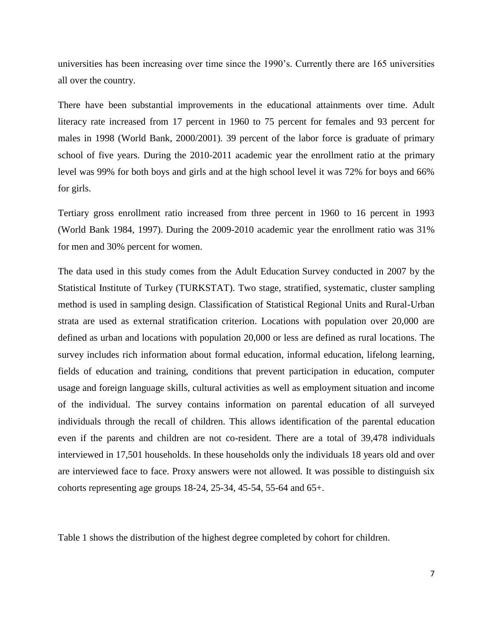universities has been increasing over time since the 1990's. Currently there are 165 universities all over the country.

There have been substantial improvements in the educational attainments over time. Adult literacy rate increased from 17 percent in 1960 to 75 percent for females and 93 percent for males in 1998 (World Bank, 2000/2001). 39 percent of the labor force is graduate of primary school of five years. During the 2010-2011 academic year the enrollment ratio at the primary level was 99% for both boys and girls and at the high school level it was 72% for boys and 66% for girls.

Tertiary gross enrollment ratio increased from three percent in 1960 to 16 percent in 1993 (World Bank 1984, 1997). During the 2009-2010 academic year the enrollment ratio was 31% for men and 30% percent for women.

The data used in this study comes from the Adult Education Survey conducted in 2007 by the Statistical Institute of Turkey (TURKSTAT). Two stage, stratified, systematic, cluster sampling method is used in sampling design. Classification of Statistical Regional Units and Rural-Urban strata are used as external stratification criterion. Locations with population over 20,000 are defined as urban and locations with population 20,000 or less are defined as rural locations. The survey includes rich information about formal education, informal education, lifelong learning, fields of education and training, conditions that prevent participation in education, computer usage and foreign language skills, cultural activities as well as employment situation and income of the individual. The survey contains information on parental education of all surveyed individuals through the recall of children. This allows identification of the parental education even if the parents and children are not co-resident. There are a total of 39,478 individuals interviewed in 17,501 households. In these households only the individuals 18 years old and over are interviewed face to face. Proxy answers were not allowed. It was possible to distinguish six cohorts representing age groups 18-24, 25-34, 45-54, 55-64 and 65+.

Table 1 shows the distribution of the highest degree completed by cohort for children.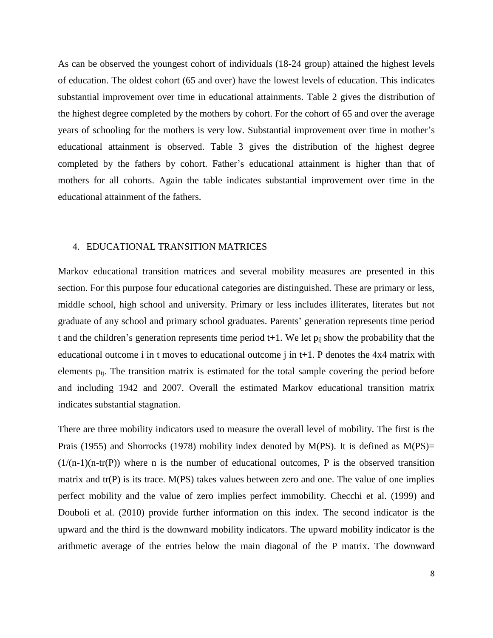As can be observed the youngest cohort of individuals (18-24 group) attained the highest levels of education. The oldest cohort (65 and over) have the lowest levels of education. This indicates substantial improvement over time in educational attainments. Table 2 gives the distribution of the highest degree completed by the mothers by cohort. For the cohort of 65 and over the average years of schooling for the mothers is very low. Substantial improvement over time in mother's educational attainment is observed. Table 3 gives the distribution of the highest degree completed by the fathers by cohort. Father's educational attainment is higher than that of mothers for all cohorts. Again the table indicates substantial improvement over time in the educational attainment of the fathers.

#### 4. EDUCATIONAL TRANSITION MATRICES

Markov educational transition matrices and several mobility measures are presented in this section. For this purpose four educational categories are distinguished. These are primary or less, middle school, high school and university. Primary or less includes illiterates, literates but not graduate of any school and primary school graduates. Parents' generation represents time period t and the children's generation represents time period  $t+1$ . We let  $p_{ii}$  show the probability that the educational outcome i in t moves to educational outcome j in t+1. P denotes the 4x4 matrix with elements pij. The transition matrix is estimated for the total sample covering the period before and including 1942 and 2007. Overall the estimated Markov educational transition matrix indicates substantial stagnation.

There are three mobility indicators used to measure the overall level of mobility. The first is the Prais (1955) and Shorrocks (1978) mobility index denoted by M(PS). It is defined as M(PS)=  $(1/(n-1)(n-tr(P))$  where n is the number of educational outcomes, P is the observed transition matrix and tr(P) is its trace. M(PS) takes values between zero and one. The value of one implies perfect mobility and the value of zero implies perfect immobility. Checchi et al. (1999) and Douboli et al. (2010) provide further information on this index. The second indicator is the upward and the third is the downward mobility indicators. The upward mobility indicator is the arithmetic average of the entries below the main diagonal of the P matrix. The downward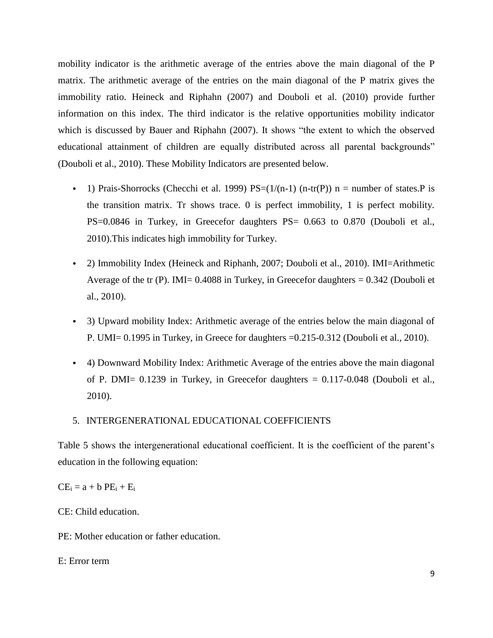mobility indicator is the arithmetic average of the entries above the main diagonal of the P matrix. The arithmetic average of the entries on the main diagonal of the P matrix gives the immobility ratio. Heineck and Riphahn (2007) and Douboli et al. (2010) provide further information on this index. The third indicator is the relative opportunities mobility indicator which is discussed by Bauer and Riphahn (2007). It shows "the extent to which the observed educational attainment of children are equally distributed across all parental backgrounds" (Douboli et al., 2010). These Mobility Indicators are presented below.

- 1) Prais-Shorrocks (Checchi et al. 1999)  $PS=(1/(n-1)$  (n-tr(P)) n = number of states. P is the transition matrix. Tr shows trace. 0 is perfect immobility, 1 is perfect mobility. PS=0.0846 in Turkey, in Greecefor daughters PS= 0.663 to 0.870 (Douboli et al., 2010).This indicates high immobility for Turkey.
- 2) Immobility Index (Heineck and Riphanh, 2007; Douboli et al., 2010). IMI=Arithmetic Average of the tr (P). IMI=  $0.4088$  in Turkey, in Greecefor daughters =  $0.342$  (Douboli et al., 2010).
- 3) Upward mobility Index: Arithmetic average of the entries below the main diagonal of P. UMI= 0.1995 in Turkey, in Greece for daughters =0.215-0.312 (Douboli et al., 2010).
- 4) Downward Mobility Index: Arithmetic Average of the entries above the main diagonal of P. DMI= 0.1239 in Turkey, in Greecefor daughters = 0.117-0.048 (Douboli et al., 2010).
- 5. INTERGENERATIONAL EDUCATIONAL COEFFICIENTS

Table 5 shows the intergenerational educational coefficient. It is the coefficient of the parent's education in the following equation:

 $CE_i = a + b PE_i + E_i$ 

CE: Child education.

PE: Mother education or father education.

E: Error term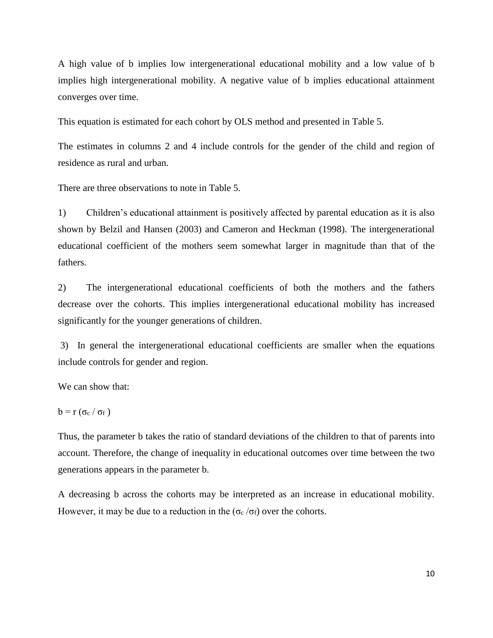A high value of b implies low intergenerational educational mobility and a low value of b implies high intergenerational mobility. A negative value of b implies educational attainment converges over time.

This equation is estimated for each cohort by OLS method and presented in Table 5.

The estimates in columns 2 and 4 include controls for the gender of the child and region of residence as rural and urban.

There are three observations to note in Table 5.

1) Children's educational attainment is positively affected by parental education as it is also shown by Belzil and Hansen (2003) and Cameron and Heckman (1998). The intergenerational educational coefficient of the mothers seem somewhat larger in magnitude than that of the fathers.

2) The intergenerational educational coefficients of both the mothers and the fathers decrease over the cohorts. This implies intergenerational educational mobility has increased significantly for the younger generations of children.

3) In general the intergenerational educational coefficients are smaller when the equations include controls for gender and region.

We can show that:

$$
b = r \left( \sigma_c / \sigma_f \right)
$$

Thus, the parameter b takes the ratio of standard deviations of the children to that of parents into account. Therefore, the change of inequality in educational outcomes over time between the two generations appears in the parameter b.

A decreasing b across the cohorts may be interpreted as an increase in educational mobility. However, it may be due to a reduction in the ( $\sigma_c/\sigma_f$ ) over the cohorts.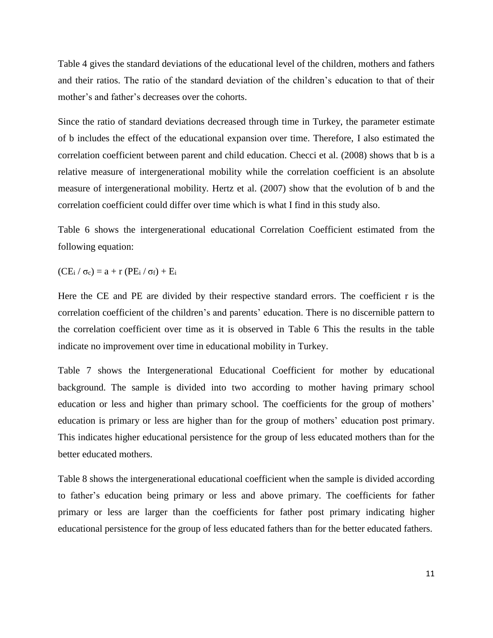Table 4 gives the standard deviations of the educational level of the children, mothers and fathers and their ratios. The ratio of the standard deviation of the children's education to that of their mother's and father's decreases over the cohorts.

Since the ratio of standard deviations decreased through time in Turkey, the parameter estimate of b includes the effect of the educational expansion over time. Therefore, I also estimated the correlation coefficient between parent and child education. Checci et al. (2008) shows that b is a relative measure of intergenerational mobility while the correlation coefficient is an absolute measure of intergenerational mobility. Hertz et al. (2007) show that the evolution of b and the correlation coefficient could differ over time which is what I find in this study also.

Table 6 shows the intergenerational educational Correlation Coefficient estimated from the following equation:

 $(CE_i / \sigma_c) = a + r (PE_i / \sigma_f) + E_i$ 

Here the CE and PE are divided by their respective standard errors. The coefficient r is the correlation coefficient of the children's and parents' education. There is no discernible pattern to the correlation coefficient over time as it is observed in Table 6 This the results in the table indicate no improvement over time in educational mobility in Turkey.

Table 7 shows the Intergenerational Educational Coefficient for mother by educational background. The sample is divided into two according to mother having primary school education or less and higher than primary school. The coefficients for the group of mothers' education is primary or less are higher than for the group of mothers' education post primary. This indicates higher educational persistence for the group of less educated mothers than for the better educated mothers.

Table 8 shows the intergenerational educational coefficient when the sample is divided according to father's education being primary or less and above primary. The coefficients for father primary or less are larger than the coefficients for father post primary indicating higher educational persistence for the group of less educated fathers than for the better educated fathers.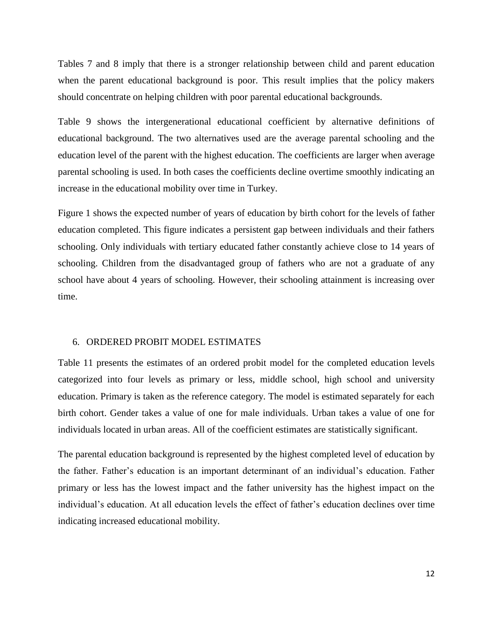Tables 7 and 8 imply that there is a stronger relationship between child and parent education when the parent educational background is poor. This result implies that the policy makers should concentrate on helping children with poor parental educational backgrounds.

Table 9 shows the intergenerational educational coefficient by alternative definitions of educational background. The two alternatives used are the average parental schooling and the education level of the parent with the highest education. The coefficients are larger when average parental schooling is used. In both cases the coefficients decline overtime smoothly indicating an increase in the educational mobility over time in Turkey.

Figure 1 shows the expected number of years of education by birth cohort for the levels of father education completed. This figure indicates a persistent gap between individuals and their fathers schooling. Only individuals with tertiary educated father constantly achieve close to 14 years of schooling. Children from the disadvantaged group of fathers who are not a graduate of any school have about 4 years of schooling. However, their schooling attainment is increasing over time.

### 6. ORDERED PROBIT MODEL ESTIMATES

Table 11 presents the estimates of an ordered probit model for the completed education levels categorized into four levels as primary or less, middle school, high school and university education. Primary is taken as the reference category. The model is estimated separately for each birth cohort. Gender takes a value of one for male individuals. Urban takes a value of one for individuals located in urban areas. All of the coefficient estimates are statistically significant.

The parental education background is represented by the highest completed level of education by the father. Father's education is an important determinant of an individual's education. Father primary or less has the lowest impact and the father university has the highest impact on the individual's education. At all education levels the effect of father's education declines over time indicating increased educational mobility.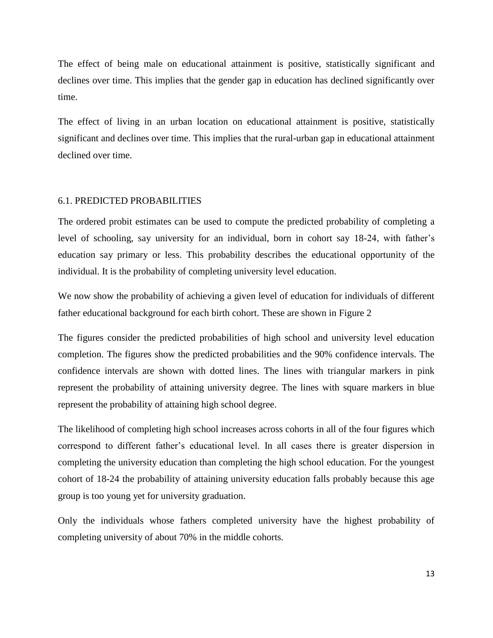The effect of being male on educational attainment is positive, statistically significant and declines over time. This implies that the gender gap in education has declined significantly over time.

The effect of living in an urban location on educational attainment is positive, statistically significant and declines over time. This implies that the rural-urban gap in educational attainment declined over time.

# 6.1. PREDICTED PROBABILITIES

The ordered probit estimates can be used to compute the predicted probability of completing a level of schooling, say university for an individual, born in cohort say 18-24, with father's education say primary or less. This probability describes the educational opportunity of the individual. It is the probability of completing university level education.

We now show the probability of achieving a given level of education for individuals of different father educational background for each birth cohort. These are shown in Figure 2

The figures consider the predicted probabilities of high school and university level education completion. The figures show the predicted probabilities and the 90% confidence intervals. The confidence intervals are shown with dotted lines. The lines with triangular markers in pink represent the probability of attaining university degree. The lines with square markers in blue represent the probability of attaining high school degree.

The likelihood of completing high school increases across cohorts in all of the four figures which correspond to different father's educational level. In all cases there is greater dispersion in completing the university education than completing the high school education. For the youngest cohort of 18-24 the probability of attaining university education falls probably because this age group is too young yet for university graduation.

Only the individuals whose fathers completed university have the highest probability of completing university of about 70% in the middle cohorts.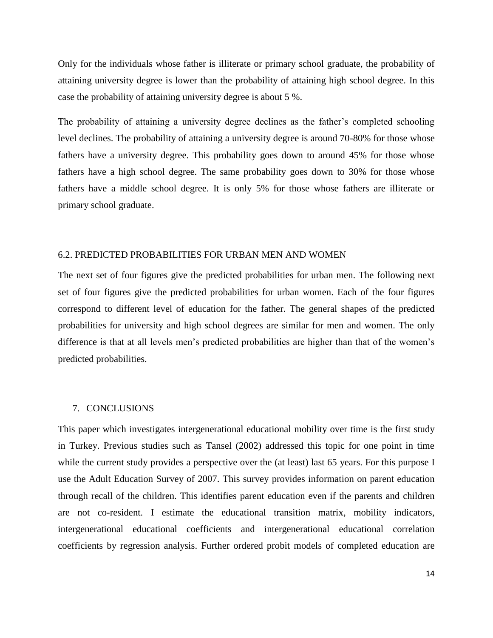Only for the individuals whose father is illiterate or primary school graduate, the probability of attaining university degree is lower than the probability of attaining high school degree. In this case the probability of attaining university degree is about 5 %.

The probability of attaining a university degree declines as the father's completed schooling level declines. The probability of attaining a university degree is around 70-80% for those whose fathers have a university degree. This probability goes down to around 45% for those whose fathers have a high school degree. The same probability goes down to 30% for those whose fathers have a middle school degree. It is only 5% for those whose fathers are illiterate or primary school graduate.

# 6.2. PREDICTED PROBABILITIES FOR URBAN MEN AND WOMEN

The next set of four figures give the predicted probabilities for urban men. The following next set of four figures give the predicted probabilities for urban women. Each of the four figures correspond to different level of education for the father. The general shapes of the predicted probabilities for university and high school degrees are similar for men and women. The only difference is that at all levels men's predicted probabilities are higher than that of the women's predicted probabilities.

#### 7. CONCLUSIONS

This paper which investigates intergenerational educational mobility over time is the first study in Turkey. Previous studies such as Tansel (2002) addressed this topic for one point in time while the current study provides a perspective over the (at least) last 65 years. For this purpose I use the Adult Education Survey of 2007. This survey provides information on parent education through recall of the children. This identifies parent education even if the parents and children are not co-resident. I estimate the educational transition matrix, mobility indicators, intergenerational educational coefficients and intergenerational educational correlation coefficients by regression analysis. Further ordered probit models of completed education are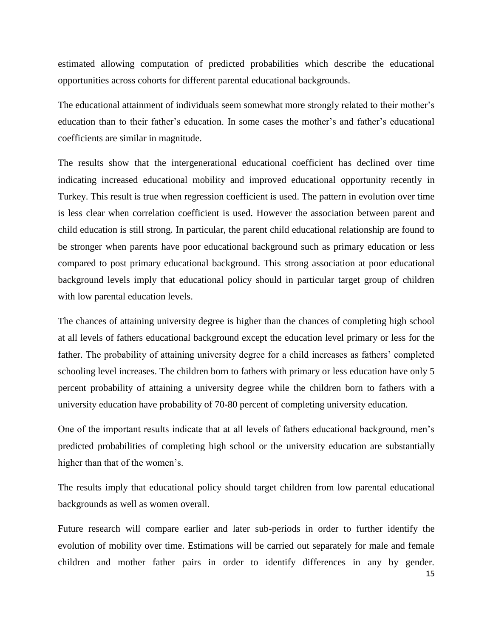estimated allowing computation of predicted probabilities which describe the educational opportunities across cohorts for different parental educational backgrounds.

The educational attainment of individuals seem somewhat more strongly related to their mother's education than to their father's education. In some cases the mother's and father's educational coefficients are similar in magnitude.

The results show that the intergenerational educational coefficient has declined over time indicating increased educational mobility and improved educational opportunity recently in Turkey. This result is true when regression coefficient is used. The pattern in evolution over time is less clear when correlation coefficient is used. However the association between parent and child education is still strong. In particular, the parent child educational relationship are found to be stronger when parents have poor educational background such as primary education or less compared to post primary educational background. This strong association at poor educational background levels imply that educational policy should in particular target group of children with low parental education levels.

The chances of attaining university degree is higher than the chances of completing high school at all levels of fathers educational background except the education level primary or less for the father. The probability of attaining university degree for a child increases as fathers' completed schooling level increases. The children born to fathers with primary or less education have only 5 percent probability of attaining a university degree while the children born to fathers with a university education have probability of 70-80 percent of completing university education.

One of the important results indicate that at all levels of fathers educational background, men's predicted probabilities of completing high school or the university education are substantially higher than that of the women's.

The results imply that educational policy should target children from low parental educational backgrounds as well as women overall.

Future research will compare earlier and later sub-periods in order to further identify the evolution of mobility over time. Estimations will be carried out separately for male and female children and mother father pairs in order to identify differences in any by gender.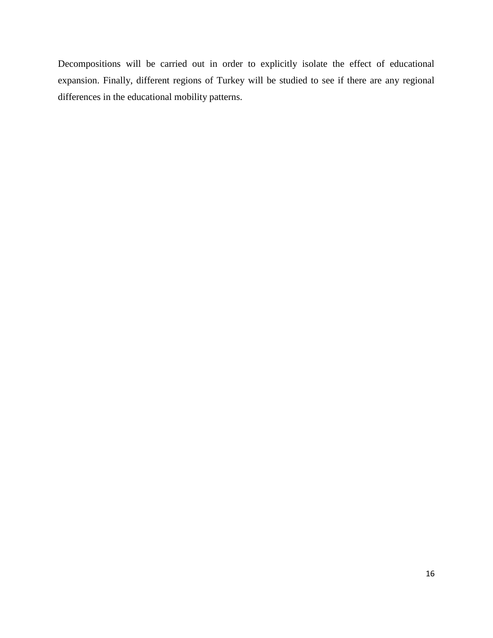Decompositions will be carried out in order to explicitly isolate the effect of educational expansion. Finally, different regions of Turkey will be studied to see if there are any regional differences in the educational mobility patterns.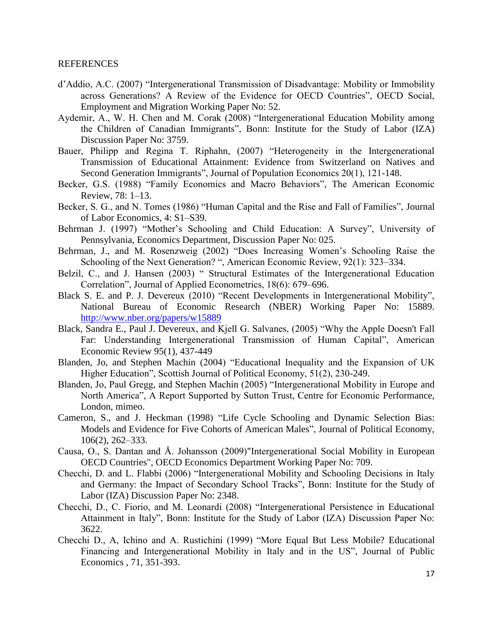# REFERENCES

- d'Addio, A.C. (2007) "Intergenerational Transmission of Disadvantage: Mobility or Immobility across Generations? A Review of the Evidence for OECD Countries", OECD Social, Employment and Migration Working Paper No: 52.
- Aydemir, A., W. H. Chen and M. Corak (2008) "Intergenerational Education Mobility among the Children of Canadian Immigrants", Bonn: Institute for the Study of Labor (IZA) Discussion Paper No: 3759.
- Bauer, Philipp and Regina T. Riphahn, (2007) "Heterogeneity in the Intergenerational Transmission of Educational Attainment: Evidence from Switzerland on Natives and Second Generation Immigrants", Journal of Population Economics 20(1), 121-148.
- Becker, G.S. (1988) "Family Economics and Macro Behaviors", The American Economic Review, 78: 1–13.
- Becker, S. G., and N. Tomes (1986) "Human Capital and the Rise and Fall of Families", Journal of Labor Economics, 4: S1–S39.
- Behrman J. (1997) "Mother's Schooling and Child Education: A Survey", University of Pennsylvania, Economics Department, Discussion Paper No: 025.
- Behrman, J., and M. Rosenzweig (2002) "Does Increasing Women's Schooling Raise the Schooling of the Next Generation? ", American Economic Review, 92(1): 323–334.
- Belzil, C., and J. Hansen (2003) "Structural Estimates of the Intergenerational Education Correlation", Journal of Applied Econometrics, 18(6): 679–696.
- Black S. E. and P. J. Devereux (2010) "Recent Developments in Intergenerational Mobility", National Bureau of Economic Research (NBER) Working Paper No: 15889. <http://www.nber.org/papers/w15889>
- Black, Sandra E., Paul J. Devereux, and Kjell G. Salvanes, (2005) "Why the Apple Doesn't Fall Far: Understanding Intergenerational Transmission of Human Capital", American Economic Review 95(1), 437-449
- Blanden, Jo, and Stephen Machin (2004) "Educational Inequality and the Expansion of UK Higher Education", Scottish Journal of Political Economy, 51(2), 230-249.
- Blanden, Jo, Paul Gregg, and Stephen Machin (2005) "Intergenerational Mobility in Europe and North America", A Report Supported by Sutton Trust, Centre for Economic Performance, London, mimeo.
- Cameron, S., and J. Heckman (1998) "Life Cycle Schooling and Dynamic Selection Bias: Models and Evidence for Five Cohorts of American Males", Journal of Political Economy, 106(2), 262–333.
- Causa, O., S. Dantan and Å. Johansson (2009)"Intergenerational Social Mobility in European OECD Countries", OECD Economics Department Working Paper No: 709.
- Checchi, D. and L. Flabbi (2006) "Intergenerational Mobility and Schooling Decisions in Italy and Germany: the Impact of Secondary School Tracks", Bonn: Institute for the Study of Labor (IZA) Discussion Paper No: 2348.
- Checchi, D., C. Fiorio, and M. Leonardi (2008) "Intergenerational Persistence in Educational Attainment in Italy", Bonn: Institute for the Study of Labor (IZA) Discussion Paper No: 3622.
- Checchi D., A, Ichino and A. Rustichini (1999) "More Equal But Less Mobile? Educational Financing and Intergenerational Mobility in Italy and in the US", Journal of Public Economics , 71, 351-393.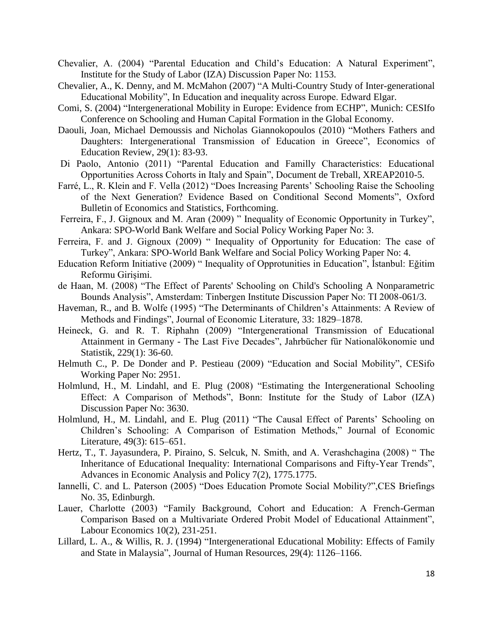- Chevalier, A. (2004) "Parental Education and Child's Education: A Natural Experiment", Institute for the Study of Labor (IZA) Discussion Paper No: 1153.
- Chevalier, A., K. Denny, and M. McMahon (2007) "A Multi-Country Study of Inter-generational Educational Mobility", In Education and inequality across Europe. Edward Elgar.
- Comi, S. (2004) "Intergenerational Mobility in Europe: Evidence from ECHP", Munich: CESIfo Conference on Schooling and Human Capital Formation in the Global Economy.
- Daouli, Joan, Michael Demoussis and Nicholas Giannokopoulos (2010) "Mothers Fathers and Daughters: Intergenerational Transmission of Education in Greece", Economics of Education Review, 29(1): 83-93.
- Di Paolo, Antonio (2011) "Parental Education and Familly Characteristics: Educational Opportunities Across Cohorts in Italy and Spain", Document de Treball, XREAP2010-5.
- Farré, L., R. Klein and F. Vella (2012) "Does Increasing Parents' Schooling Raise the Schooling of the Next Generation? Evidence Based on Conditional Second Moments", Oxford Bulletin of Economics and Statistics, Forthcoming.
- Ferreira, F., J. Gignoux and M. Aran (2009) " Inequality of Economic Opportunity in Turkey", Ankara: SPO-World Bank Welfare and Social Policy Working Paper No: 3.
- Ferreira, F. and J. Gignoux (2009) " Inequality of Opportunity for Education: The case of Turkey", Ankara: SPO-World Bank Welfare and Social Policy Working Paper No: 4.
- Education Reform Initiative (2009) " Inequality of Opprotunities in Education", İstanbul: Eğitim Reformu Girişimi.
- de Haan, M. (2008) "The Effect of Parents' Schooling on Child's Schooling A Nonparametric Bounds Analysis", Amsterdam: Tinbergen Institute Discussion Paper No: TI 2008-061/3.
- Haveman, R., and B. Wolfe (1995) "The Determinants of Children's Attainments: A Review of Methods and Findings", Journal of Economic Literature, 33: 1829–1878.
- Heineck, G. and R. T. Riphahn (2009) "Intergenerational Transmission of Educational Attainment in Germany - The Last Five Decades", Jahrbücher für Nationalökonomie und Statistik, 229(1): 36-60.
- Helmuth C., P. De Donder and P. Pestieau (2009) "Education and Social Mobility", CESifo Working Paper No: 2951.
- Holmlund, H., M. Lindahl, and E. Plug (2008) "Estimating the Intergenerational Schooling Effect: A Comparison of Methods", Bonn: Institute for the Study of Labor (IZA) Discussion Paper No: 3630.
- Holmlund, H., M. Lindahl, and E. Plug (2011) "The Causal Effect of Parents' Schooling on Children's Schooling: A Comparison of Estimation Methods," Journal of Economic Literature, 49(3): 615–651.
- Hertz, T., T. Jayasundera, P. Piraino, S. Selcuk, N. Smith, and A. Verashchagina (2008) " The Inheritance of Educational Inequality: International Comparisons and Fifty-Year Trends", Advances in Economic Analysis and Policy 7(2), 1775.1775.
- Iannelli, C. and L. Paterson (2005) "Does Education Promote Social Mobility?",CES Briefings No. 35, Edinburgh.
- Lauer, Charlotte (2003) "Family Background, Cohort and Education: A French-German Comparison Based on a Multivariate Ordered Probit Model of Educational Attainment", Labour Economics 10(2), 231-251.
- Lillard, L. A., & Willis, R. J. (1994) "Intergenerational Educational Mobility: Effects of Family and State in Malaysia", Journal of Human Resources, 29(4): 1126–1166.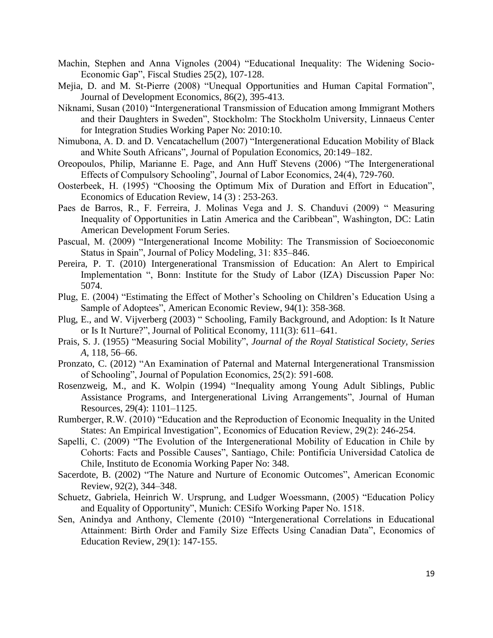- Machin, Stephen and Anna Vignoles (2004) "Educational Inequality: The Widening Socio-Economic Gap", Fiscal Studies 25(2), 107-128.
- Mejia, D. and M. St-Pierre (2008) "Unequal Opportunities and Human Capital Formation", Journal of Development Economics, 86(2), 395-413.
- Niknami, Susan (2010) "Intergenerational Transmission of Education among Immigrant Mothers and their Daughters in Sweden", Stockholm: The Stockholm University, Linnaeus Center for Integration Studies Working Paper No: 2010:10.
- Nimubona, A. D. and D. Vencatachellum (2007) "Intergenerational Education Mobility of Black and White South Africans", Journal of Population Economics, 20:149–182.
- Oreopoulos, Philip, Marianne E. Page, and Ann Huff Stevens (2006) "The Intergenerational Effects of Compulsory Schooling", Journal of Labor Economics, 24(4), 729-760.
- Oosterbeek, H. (1995) "Choosing the Optimum Mix of Duration and Effort in Education", Economics of Education Review, 14 (3) : 253-263.
- Paes de Barros, R., F. Ferreira, J. Molinas Vega and J. S. Chanduvi (2009) " Measuring Inequality of Opportunities in Latin America and the Caribbean", Washington, DC: Latin American Development Forum Series.
- Pascual, M. (2009) "Intergenerational Income Mobility: The Transmission of Socioeconomic Status in Spain", Journal of Policy Modeling, 31: 835–846.
- Pereira, P. T. (2010) Intergenerational Transmission of Education: An Alert to Empirical Implementation ", Bonn: Institute for the Study of Labor (IZA) Discussion Paper No: 5074.
- Plug, E. (2004) "Estimating the Effect of Mother's Schooling on Children's Education Using a Sample of Adoptees", American Economic Review, 94(1): 358-368.
- Plug, E., and W. Vijverberg (2003) " Schooling, Family Background, and Adoption: Is It Nature or Is It Nurture?", Journal of Political Economy, 111(3): 611–641.
- Prais, S. J. (1955) "Measuring Social Mobility", *Journal of the Royal Statistical Society, Series A*, 118, 56–66.
- Pronzato, C. (2012) "An Examination of Paternal and Maternal Intergenerational Transmission of Schooling", Journal of Population Economics, 25(2): 591-608.
- Rosenzweig, M., and K. Wolpin (1994) "Inequality among Young Adult Siblings, Public Assistance Programs, and Intergenerational Living Arrangements", Journal of Human Resources, 29(4): 1101–1125.
- Rumberger, R.W. (2010) "Education and the Reproduction of Economic Inequality in the United States: An Empirical Investigation", Economics of Education Review, 29(2): 246-254.
- Sapelli, C. (2009) "The Evolution of the Intergenerational Mobility of Education in Chile by Cohorts: Facts and Possible Causes", Santiago, Chile: Pontificia Universidad Catolica de Chile, Instituto de Economia Working Paper No: 348.
- Sacerdote, B. (2002) "The Nature and Nurture of Economic Outcomes", American Economic Review, 92(2), 344–348.
- Schuetz, Gabriela, Heinrich W. Ursprung, and Ludger Woessmann, (2005) "Education Policy and Equality of Opportunity", Munich: CESifo Working Paper No. 1518.
- Sen, Anindya and Anthony, Clemente (2010) "Intergenerational Correlations in Educational Attainment: Birth Order and Family Size Effects Using Canadian Data", Economics of Education Review, 29(1): 147-155.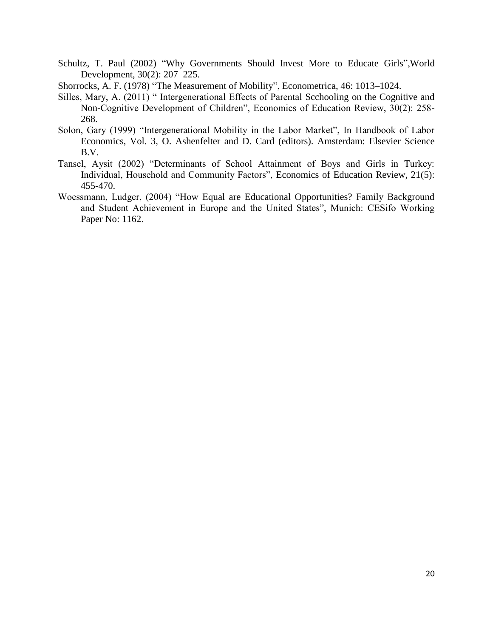- Schultz, T. Paul (2002) "Why Governments Should Invest More to Educate Girls",World Development, 30(2): 207–225.
- Shorrocks, A. F. (1978) "The Measurement of Mobility", Econometrica, 46: 1013–1024.
- Silles, Mary, A. (2011) " Intergenerational Effects of Parental Scchooling on the Cognitive and Non-Cognitive Development of Children", Economics of Education Review, 30(2): 258- 268.
- Solon, Gary (1999) "Intergenerational Mobility in the Labor Market", In Handbook of Labor Economics, Vol. 3, O. Ashenfelter and D. Card (editors). Amsterdam: Elsevier Science B.V.
- Tansel, Aysit (2002) "Determinants of School Attainment of Boys and Girls in Turkey: Individual, Household and Community Factors", Economics of Education Review, 21(5): 455-470.
- Woessmann, Ludger, (2004) "How Equal are Educational Opportunities? Family Background and Student Achievement in Europe and the United States", Munich: CESifo Working Paper No: 1162.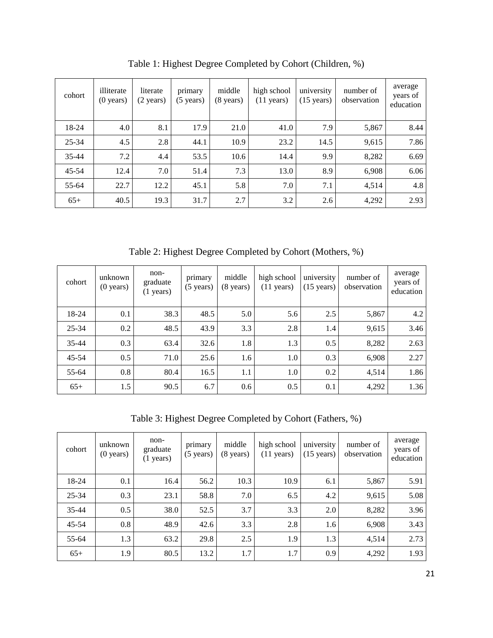| cohort    | illiterate<br>$(0 \text{ years})$ | literate<br>$(2 \text{ years})$ | primary<br>$(5 \text{ years})$ | middle<br>$(8 \text{ years})$ | high school<br>$(11 \text{ years})$ | university<br>$(15 \text{ years})$ | number of<br>observation | average<br>years of<br>education |
|-----------|-----------------------------------|---------------------------------|--------------------------------|-------------------------------|-------------------------------------|------------------------------------|--------------------------|----------------------------------|
| 18-24     | 4.0                               | 8.1                             | 17.9                           | 21.0                          | 41.0                                | 7.9                                | 5,867                    | 8.44                             |
| 25-34     | 4.5                               | 2.8                             | 44.1                           | 10.9                          | 23.2                                | 14.5                               | 9,615                    | 7.86                             |
| $35 - 44$ | 7.2                               | 4.4                             | 53.5                           | 10.6                          | 14.4                                | 9.9                                | 8,282                    | 6.69                             |
| $45 - 54$ | 12.4                              | 7.0                             | 51.4                           | 7.3                           | 13.0                                | 8.9                                | 6,908                    | 6.06                             |
| 55-64     | 22.7                              | 12.2                            | 45.1                           | 5.8                           | 7.0                                 | 7.1                                | 4,514                    | 4.8                              |
| $65+$     | 40.5                              | 19.3                            | 31.7                           | 2.7                           | 3.2                                 | 2.6                                | 4,292                    | 2.93                             |

Table 1: Highest Degree Completed by Cohort (Children, %)

Table 2: Highest Degree Completed by Cohort (Mothers, %)

| cohort    | unknown<br>$(0 \text{ years})$ | non-<br>graduate<br>$(1 \text{ years})$ | primary<br>$(5 \text{ years})$ | middle<br>$(8 \text{ years})$ | high school<br>$(11 \text{ years})$ | university<br>$(15 \text{ years})$ | number of<br>observation | average<br>years of<br>education |
|-----------|--------------------------------|-----------------------------------------|--------------------------------|-------------------------------|-------------------------------------|------------------------------------|--------------------------|----------------------------------|
| 18-24     | 0.1                            | 38.3                                    | 48.5                           | 5.0                           | 5.6                                 | 2.5                                | 5,867                    | 4.2                              |
| $25 - 34$ | 0.2                            | 48.5                                    | 43.9                           | 3.3                           | 2.8                                 | 1.4                                | 9,615                    | 3.46                             |
| $35 - 44$ | 0.3                            | 63.4                                    | 32.6                           | 1.8                           | 1.3                                 | 0.5                                | 8,282                    | 2.63                             |
| $45 - 54$ | 0.5                            | 71.0                                    | 25.6                           | 1.6                           | 1.0                                 | 0.3                                | 6,908                    | 2.27                             |
| 55-64     | 0.8                            | 80.4                                    | 16.5                           | 1.1                           | 1.0                                 | 0.2                                | 4,514                    | 1.86                             |
| $65+$     | 1.5                            | 90.5                                    | 6.7                            | 0.6                           | 0.5                                 | 0.1                                | 4,292                    | 1.36                             |

Table 3: Highest Degree Completed by Cohort (Fathers, %)

| cohort    | unknown<br>$(0 \text{ years})$ | non-<br>graduate<br>$(1 \text{ years})$ | primary<br>$(5 \text{ years})$ | middle<br>$(8 \text{ years})$ | high school<br>$(11 \text{ years})$ | university<br>$(15 \text{ years})$ | number of<br>observation | average<br>years of<br>education |
|-----------|--------------------------------|-----------------------------------------|--------------------------------|-------------------------------|-------------------------------------|------------------------------------|--------------------------|----------------------------------|
| 18-24     | 0.1                            | 16.4                                    | 56.2                           | 10.3                          | 10.9                                | 6.1                                | 5,867                    | 5.91                             |
| $25 - 34$ | 0.3                            | 23.1                                    | 58.8                           | 7.0                           | 6.5                                 | 4.2                                | 9,615                    | 5.08                             |
| $35 - 44$ | 0.5                            | 38.0                                    | 52.5                           | 3.7                           | 3.3                                 | 2.0                                | 8,282                    | 3.96                             |
| $45 - 54$ | 0.8                            | 48.9                                    | 42.6                           | 3.3                           | 2.8                                 | 1.6                                | 6,908                    | 3.43                             |
| 55-64     | 1.3                            | 63.2                                    | 29.8                           | 2.5                           | 1.9                                 | 1.3                                | 4,514                    | 2.73                             |
| $65+$     | 1.9                            | 80.5                                    | 13.2                           | 1.7                           | 1.7                                 | 0.9                                | 4,292                    | 1.93                             |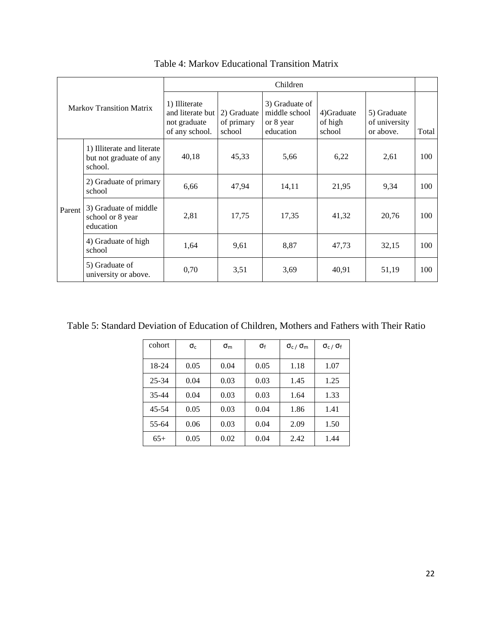|        |                                                                  |                                                                     |                                     | Children                                                  |                                  |                                           |       |
|--------|------------------------------------------------------------------|---------------------------------------------------------------------|-------------------------------------|-----------------------------------------------------------|----------------------------------|-------------------------------------------|-------|
|        | Markov Transition Matrix                                         | 1) Illiterate<br>and literate but<br>not graduate<br>of any school. | 2) Graduate<br>of primary<br>school | 3) Graduate of<br>middle school<br>or 8 year<br>education | 4) Graduate<br>of high<br>school | 5) Graduate<br>of university<br>or above. | Total |
|        | 1) Illiterate and literate<br>but not graduate of any<br>school. | 40,18                                                               | 45,33                               | 5,66                                                      | 6,22                             | 2,61                                      | 100   |
|        | 2) Graduate of primary<br>school                                 | 6,66                                                                | 47,94                               | 14,11                                                     | 21,95                            | 9.34                                      | 100   |
| Parent | 3) Graduate of middle<br>school or 8 year<br>education           | 2,81                                                                | 17,75                               | 17,35                                                     | 41,32                            | 20,76                                     | 100   |
|        | 4) Graduate of high<br>school                                    | 1,64                                                                | 9,61                                | 8,87                                                      | 47,73                            | 32,15                                     | 100   |
|        | 5) Graduate of<br>university or above.                           | 0,70                                                                | 3,51                                | 3,69                                                      | 40,91                            | 51,19                                     | 100   |

Table 4: Markov Educational Transition Matrix

Table 5: Standard Deviation of Education of Children, Mothers and Fathers with Their Ratio

| cohort    | $\sigma_{c}$ | $\sigma_{\rm m}$ | σf   | $\sigma_{c}$ / $\sigma_{m}$ | $\sigma_{c}$ / $\sigma_{f}$ |
|-----------|--------------|------------------|------|-----------------------------|-----------------------------|
| 18-24     | 0.05         | 0.04             | 0.05 | 1.18                        | 1.07                        |
| 25-34     | 0.04         | 0.03             | 0.03 | 1.45                        | 1.25                        |
| $35 - 44$ | 0.04         | 0.03             | 0.03 | 1.64                        | 1.33                        |
| $45 - 54$ | 0.05         | 0.03             | 0.04 | 1.86                        | 1.41                        |
| 55-64     | 0.06         | 0.03             | 0.04 | 2.09                        | 1.50                        |
| $65+$     | 0.05         | 0.02             | 0.04 | 2.42                        | 1.44                        |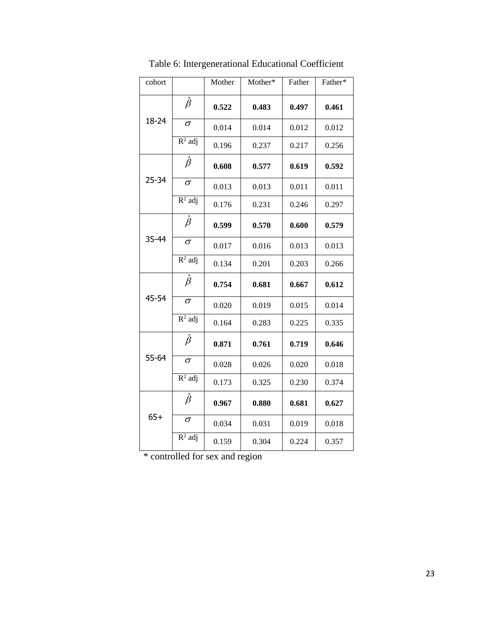| cohort |                      | Mother | Mother* | Father | Father* |
|--------|----------------------|--------|---------|--------|---------|
|        | $\hat{\beta}$        | 0.522  | 0.483   | 0.497  | 0.461   |
| 18-24  | $\sigma$             | 0.014  | 0.014   | 0.012  | 0.012   |
|        | $R^2$ adj            | 0.196  | 0.237   | 0.217  | 0.256   |
|        | $\hat{\beta}$        | 0.608  | 0.577   | 0.619  | 0.592   |
| 25-34  | $\sigma$             | 0.013  | 0.013   | 0.011  | 0.011   |
|        | $R^2$ adj            | 0.176  | 0.231   | 0.246  | 0.297   |
|        | $\hat{\beta}$        | 0.599  | 0.570   | 0.600  | 0.579   |
| 35-44  | $\sigma$             | 0.017  | 0.016   | 0.013  | 0.013   |
|        | $R^2$ adj            | 0.134  | 0.201   | 0.203  | 0.266   |
|        | $\hat{\beta}$        | 0.754  | 0.681   | 0.667  | 0.612   |
| 45-54  | $\sigma$             | 0.020  | 0.019   | 0.015  | 0.014   |
|        | $R^2$ adj            | 0.164  | 0.283   | 0.225  | 0.335   |
|        | $\hat{\beta}$        | 0.871  | 0.761   | 0.719  | 0.646   |
| 55-64  | $\sigma$             | 0.028  | 0.026   | 0.020  | 0.018   |
|        | $R^2$ adj            | 0.173  | 0.325   | 0.230  | 0.374   |
|        | $\hat{\beta}$        | 0.967  | 0.880   | 0.681  | 0.627   |
| $65+$  | $\sigma$             | 0.034  | 0.031   | 0.019  | 0.018   |
|        | $\overline{R}^2$ adj | 0.159  | 0.304   | 0.224  | 0.357   |

Table 6: Intergenerational Educational Coefficient

 $\overline{\text{*} \cdot \text{controlled for sex and region}}$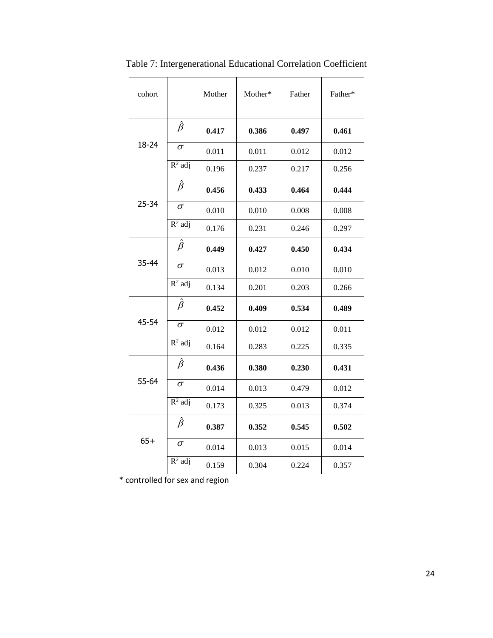| cohort    |                               | Mother | Mother* | Father | Father* |
|-----------|-------------------------------|--------|---------|--------|---------|
|           | $\hat{\beta}$                 | 0.417  | 0.386   | 0.497  | 0.461   |
| 18-24     | σ                             | 0.011  | 0.011   | 0.012  | 0.012   |
|           | $R^2$ adj                     | 0.196  | 0.237   | 0.217  | 0.256   |
|           | $\hat{\beta}$                 | 0.456  | 0.433   | 0.464  | 0.444   |
| $25 - 34$ | $\sigma$                      | 0.010  | 0.010   | 0.008  | 0.008   |
|           | $R^2$ adj                     | 0.176  | 0.231   | 0.246  | 0.297   |
|           | $\hat{\beta}$                 | 0.449  | 0.427   | 0.450  | 0.434   |
| 35-44     | $\sigma$                      | 0.013  | 0.012   | 0.010  | 0.010   |
|           | $R^2$ adj                     | 0.134  | 0.201   | 0.203  | 0.266   |
|           | $\hat{\beta}$                 | 0.452  | 0.409   | 0.534  | 0.489   |
| 45-54     | $\sigma$                      | 0.012  | 0.012   | 0.012  | 0.011   |
|           | $R^2$ adj                     | 0.164  | 0.283   | 0.225  | 0.335   |
|           | $\hat{\beta}$                 | 0.436  | 0.380   | 0.230  | 0.431   |
| 55-64     | $\sigma$                      | 0.014  | 0.013   | 0.479  | 0.012   |
|           | $R^2$ adj                     | 0.173  | 0.325   | 0.013  | 0.374   |
|           | $\hat{\beta}$                 | 0.387  | 0.352   | 0.545  | 0.502   |
| $65+$     | $\sigma$                      | 0.014  | 0.013   | 0.015  | 0.014   |
|           | $\overline{\mathsf{R}^2}$ adj | 0.159  | 0.304   | 0.224  | 0.357   |

Table 7: Intergenerational Educational Correlation Coefficient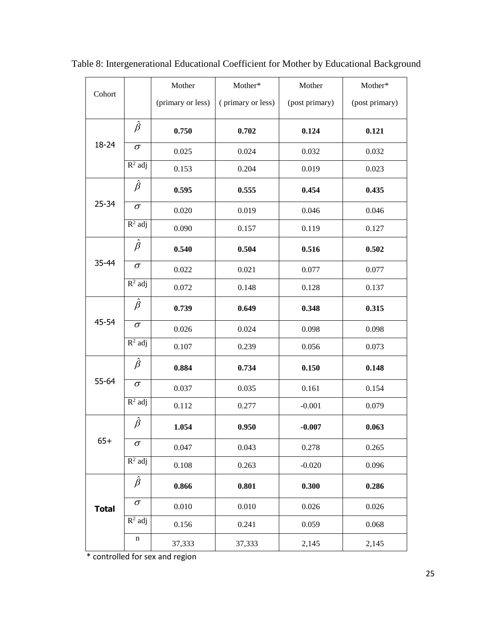| Cohort       |               | Mother            | Mother*           | Mother         | Mother*        |
|--------------|---------------|-------------------|-------------------|----------------|----------------|
|              |               | (primary or less) | (primary or less) | (post primary) | (post primary) |
|              | $\hat{\beta}$ | 0.750             | 0.702             | 0.124          | 0.121          |
| 18-24        | $\sigma$      | 0.025             | 0.024             | 0.032          | 0.032          |
|              | $R^2$ adj     | 0.153             | 0.204             | 0.019          | 0.023          |
|              | $\hat{\beta}$ | 0.595             | 0.555             | 0.454          | 0.435          |
| $25 - 34$    | $\sigma$      | 0.020             | 0.019             | 0.046          | 0.046          |
|              | $R^2$ adj     | 0.090             | 0.157             | 0.119          | 0.127          |
|              | $\hat{\beta}$ | 0.540             | 0.504             | 0.516          | 0.502          |
| 35-44        | $\sigma$      | 0.022             | 0.021             | 0.077          | 0.077          |
|              | $R^2$ adj     | 0.072             | 0.148             | 0.128          | 0.137          |
|              | $\hat{\beta}$ | 0.739             | 0.649             | 0.348          | 0.315          |
| 45-54        | $\sigma$      | 0.026             | 0.024             | 0.098          | 0.098          |
|              | $R^2$ adj     | 0.107             | 0.239             | 0.056          | 0.073          |
|              | $\hat{\beta}$ | 0.884             | 0.734             | 0.150          | 0.148          |
| 55-64        | $\sigma$      | 0.037             | 0.035             | 0.161          | 0.154          |
|              | $R^2$ adj     | 0.112             | 0.277             | $-0.001$       | 0.079          |
|              | $\hat{\beta}$ | 1.054             | 0.950             | $-0.007$       | 0.063          |
| $65+$        | $\sigma$      | 0.047             | 0.043             | 0.278          | 0.265          |
|              | $R^2$ adj     | 0.108             | 0.263             | $-0.020$       | 0.096          |
|              | $\hat{\beta}$ | 0.866             | 0.801             | 0.300          | 0.286          |
| <b>Total</b> | $\sigma$      | 0.010             | 0.010             | 0.026          | 0.026          |
|              | $R^2$ adj     | 0.156             | 0.241             | 0.059          | 0.068          |
|              | $\mathbf n$   | 37,333            | 37,333            | 2,145          | 2,145          |

Table 8: Intergenerational Educational Coefficient for Mother by Educational Background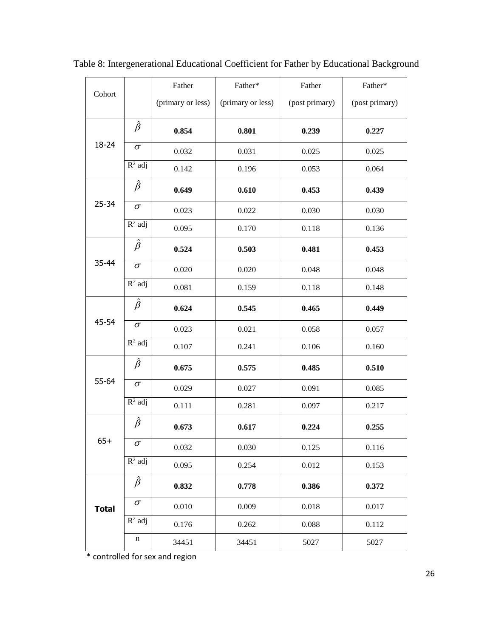| Cohort       |               | Father            | Father*           | Father         | Father*        |
|--------------|---------------|-------------------|-------------------|----------------|----------------|
|              |               | (primary or less) | (primary or less) | (post primary) | (post primary) |
|              | $\hat{\beta}$ | 0.854             | 0.801             | 0.239          | 0.227          |
| 18-24        | $\sigma$      | 0.032             | 0.031             | 0.025          | 0.025          |
|              | $R^2$ adj     | 0.142             | 0.196             | 0.053          | 0.064          |
|              | $\hat{\beta}$ | 0.649             | 0.610             | 0.453          | 0.439          |
| $25 - 34$    | $\sigma$      | 0.023             | 0.022             | 0.030          | 0.030          |
|              | $R^2$ adj     | 0.095             | 0.170             | 0.118          | 0.136          |
|              | $\hat{\beta}$ | 0.524             | 0.503             | 0.481          | 0.453          |
| 35-44        | $\sigma$      | 0.020             | 0.020             | 0.048          | 0.048          |
|              | $R^2$ adj     | 0.081             | 0.159             | 0.118          | 0.148          |
|              | $\hat{\beta}$ | 0.624             | 0.545             | 0.465          | 0.449          |
| 45-54        | $\sigma$      | 0.023             | 0.021             | 0.058          | 0.057          |
|              | $R^2$ adj     | 0.107             | 0.241             | 0.106          | 0.160          |
|              | $\hat{\beta}$ | 0.675             | 0.575             | 0.485          | 0.510          |
| 55-64        | $\sigma$      | 0.029             | 0.027             | 0.091          | 0.085          |
|              | $R^2$ adj     | 0.111             | 0.281             | 0.097          | 0.217          |
|              | $\hat{\beta}$ | 0.673             | 0.617             | 0.224          | 0.255          |
| $65+$        | $\sigma$      | 0.032             | 0.030             | 0.125          | 0.116          |
|              | $R^2$ adj     | 0.095             | 0.254             | 0.012          | 0.153          |
|              | $\hat{\beta}$ | 0.832             | 0.778             | 0.386          | 0.372          |
| <b>Total</b> | $\sigma$      | 0.010             | 0.009             | 0.018          | 0.017          |
|              | $R^2$ adj     | 0.176             | 0.262             | 0.088          | 0.112          |
|              | n             | 34451             | 34451             | 5027           | 5027           |

Table 8: Intergenerational Educational Coefficient for Father by Educational Background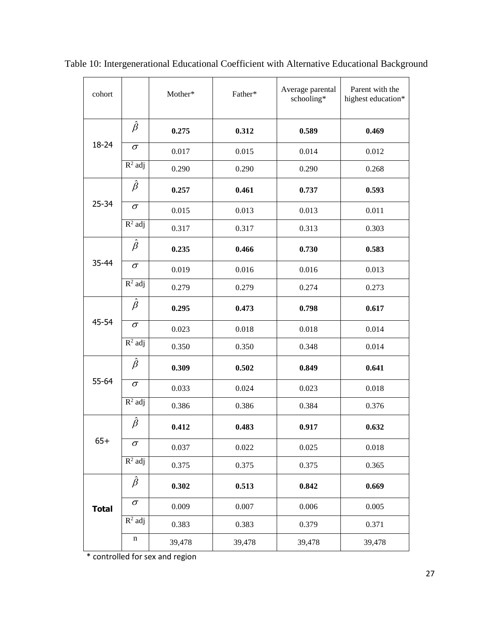| cohort       |                      | Mother* | Father* | Average parental<br>schooling* | Parent with the<br>highest education* |
|--------------|----------------------|---------|---------|--------------------------------|---------------------------------------|
|              | $\hat{\beta}$        | 0.275   | 0.312   | 0.589                          | 0.469                                 |
| 18-24        | $\sigma$             | 0.017   | 0.015   | 0.014                          | 0.012                                 |
|              | $R^2$ adj            | 0.290   | 0.290   | 0.290                          | 0.268                                 |
|              | $\hat{\beta}$        | 0.257   | 0.461   | 0.737                          | 0.593                                 |
| $25 - 34$    | $\sigma$             | 0.015   | 0.013   | 0.013                          | 0.011                                 |
|              | $R^2$ adj            | 0.317   | 0.317   | 0.313                          | 0.303                                 |
|              | $\hat{\beta}$        | 0.235   | 0.466   | 0.730                          | 0.583                                 |
| $35 - 44$    | $\sigma$             | 0.019   | 0.016   | 0.016                          | 0.013                                 |
|              | $R^2$ adj            | 0.279   | 0.279   | 0.274                          | 0.273                                 |
|              | $\hat{\beta}$        | 0.295   | 0.473   | 0.798                          | 0.617                                 |
| 45-54        | $\sigma$             | 0.023   | 0.018   | 0.018                          | 0.014                                 |
|              | $R^2$ adj            | 0.350   | 0.350   | 0.348                          | 0.014                                 |
|              | $\hat{\beta}$        | 0.309   | 0.502   | 0.849                          | 0.641                                 |
| 55-64        | $\sigma$             | 0.033   | 0.024   | 0.023                          | 0.018                                 |
|              | $R^2$ adj            | 0.386   | 0.386   | 0.384                          | 0.376                                 |
|              | $\hat{\beta}$        | 0.412   | 0.483   | 0.917                          | 0.632                                 |
| $65+$        | $\sigma$             | 0.037   | 0.022   | 0.025                          | 0.018                                 |
|              | $R^2$ adj            | 0.375   | 0.375   | 0.375                          | 0.365                                 |
|              | $\hat{\beta}$        | 0.302   | 0.513   | 0.842                          | 0.669                                 |
| <b>Total</b> | $\sigma$             | 0.009   | 0.007   | 0.006                          | 0.005                                 |
|              | $\overline{R^2}$ adj | 0.383   | 0.383   | 0.379                          | 0.371                                 |
|              | n                    | 39,478  | 39,478  | 39,478                         | 39,478                                |

Table 10: Intergenerational Educational Coefficient with Alternative Educational Background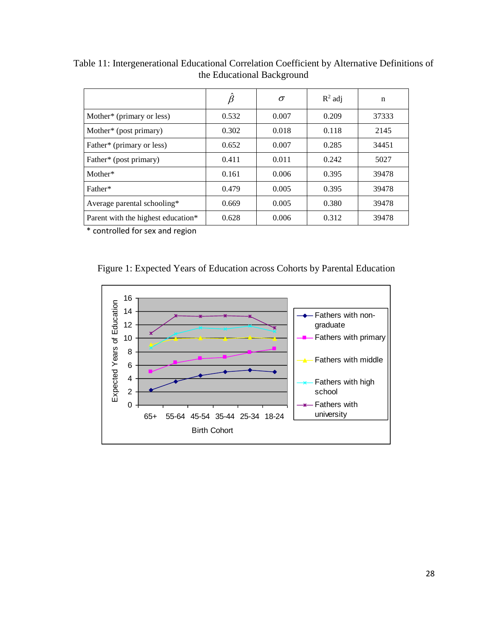|                                    | $\beta$ | $\sigma$ | $R^2$ adj | n     |
|------------------------------------|---------|----------|-----------|-------|
| Mother* (primary or less)          | 0.532   | 0.007    | 0.209     | 37333 |
| Mother* (post primary)             | 0.302   | 0.018    | 0.118     | 2145  |
| Father* (primary or less)          | 0.652   | 0.007    | 0.285     | 34451 |
| Father* (post primary)             | 0.411   | 0.011    | 0.242     | 5027  |
| Mother*                            | 0.161   | 0.006    | 0.395     | 39478 |
| Father*                            | 0.479   | 0.005    | 0.395     | 39478 |
| Average parental schooling*        | 0.669   | 0.005    | 0.380     | 39478 |
| Parent with the highest education* | 0.628   | 0.006    | 0.312     | 39478 |

Table 11: Intergenerational Educational Correlation Coefficient by Alternative Definitions of the Educational Background



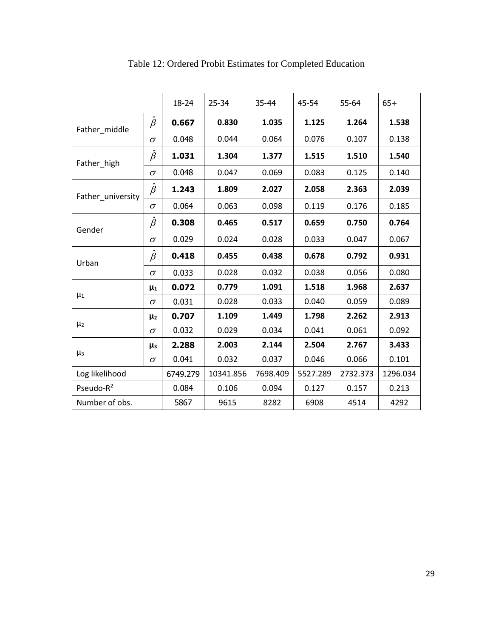|                   |               | 18-24    | $25 - 34$ | 35-44    | 45-54    | 55-64    | $65+$    |
|-------------------|---------------|----------|-----------|----------|----------|----------|----------|
| Father_middle     | $\hat{\beta}$ | 0.667    | 0.830     | 1.035    | 1.125    | 1.264    | 1.538    |
|                   | $\sigma$      | 0.048    | 0.044     | 0.064    | 0.076    | 0.107    | 0.138    |
| Father_high       | $\hat{\beta}$ | 1.031    | 1.304     | 1.377    | 1.515    | 1.510    | 1.540    |
|                   | $\sigma$      | 0.048    | 0.047     | 0.069    | 0.083    | 0.125    | 0.140    |
| Father university | $\hat{\beta}$ | 1.243    | 1.809     | 2.027    | 2.058    | 2.363    | 2.039    |
|                   | $\sigma$      | 0.064    | 0.063     | 0.098    | 0.119    | 0.176    | 0.185    |
| Gender            | $\hat{\beta}$ | 0.308    | 0.465     | 0.517    | 0.659    | 0.750    | 0.764    |
|                   | $\sigma$      | 0.029    | 0.024     | 0.028    | 0.033    | 0.047    | 0.067    |
| Urban             | $\hat{\beta}$ | 0.418    | 0.455     | 0.438    | 0.678    | 0.792    | 0.931    |
|                   | $\sigma$      | 0.033    | 0.028     | 0.032    | 0.038    | 0.056    | 0.080    |
|                   | $\mu_1$       | 0.072    | 0.779     | 1.091    | 1.518    | 1.968    | 2.637    |
| $\mu_1$           | $\sigma$      | 0.031    | 0.028     | 0.033    | 0.040    | 0.059    | 0.089    |
| $\mu_2$           | $\mu_2$       | 0.707    | 1.109     | 1.449    | 1.798    | 2.262    | 2.913    |
|                   | $\sigma$      | 0.032    | 0.029     | 0.034    | 0.041    | 0.061    | 0.092    |
|                   | $\mu_3$       | 2.288    | 2.003     | 2.144    | 2.504    | 2.767    | 3.433    |
| $\mu_3$           | $\sigma$      | 0.041    | 0.032     | 0.037    | 0.046    | 0.066    | 0.101    |
| Log likelihood    |               | 6749.279 | 10341.856 | 7698.409 | 5527.289 | 2732.373 | 1296.034 |
| Pseudo- $R^2$     |               | 0.084    | 0.106     | 0.094    | 0.127    | 0.157    | 0.213    |
| Number of obs.    |               | 5867     | 9615      | 8282     | 6908     | 4514     | 4292     |

Table 12: Ordered Probit Estimates for Completed Education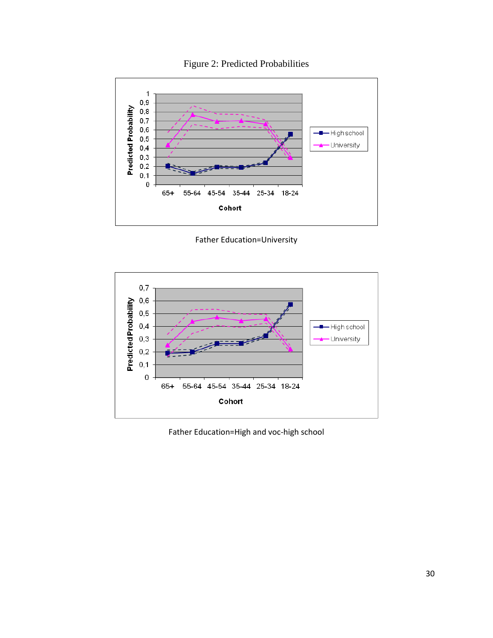



Father Education=University



Father Education=High and voc-high school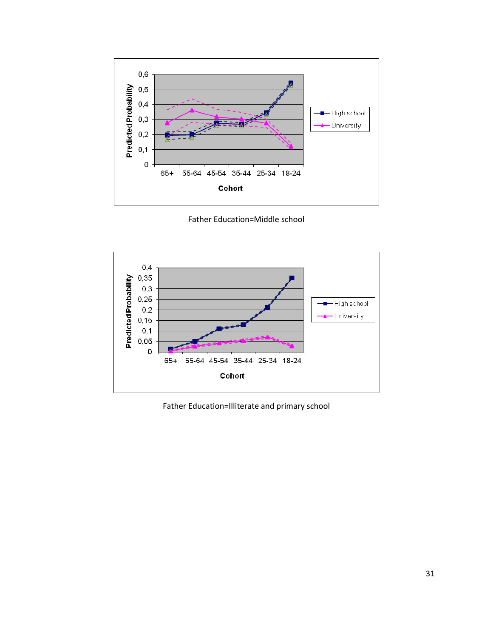

Father Education=Middle school



Father Education=Illiterate and primary school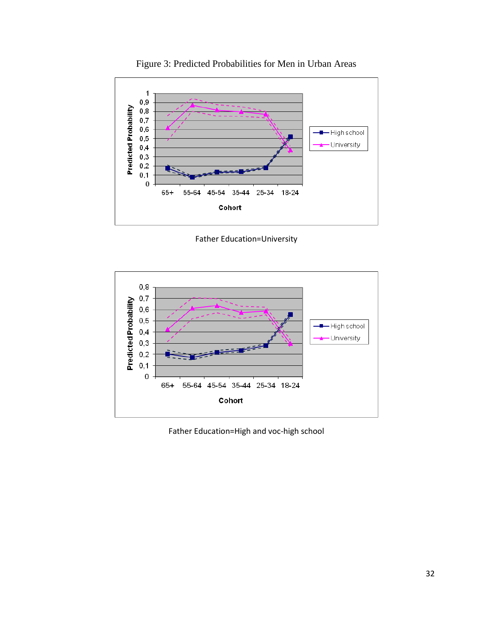

Figure 3: Predicted Probabilities for Men in Urban Areas

Father Education=University



Father Education=High and voc-high school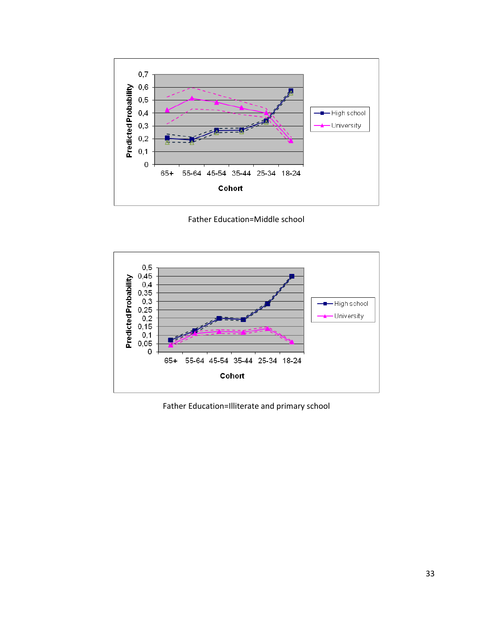

Father Education=Middle school



Father Education=Illiterate and primary school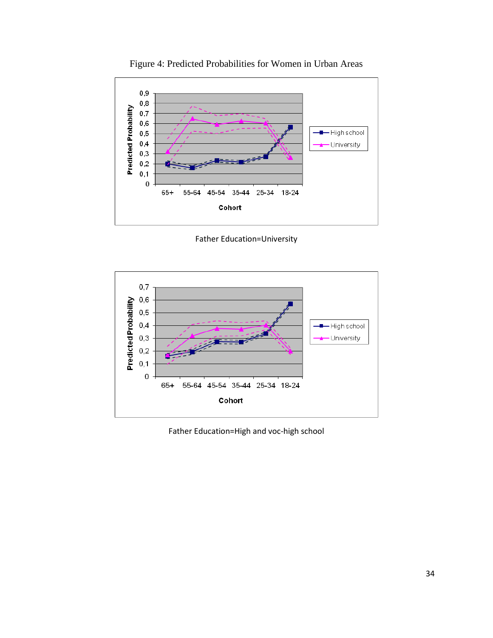

Figure 4: Predicted Probabilities for Women in Urban Areas

Father Education=University



Father Education=High and voc-high school